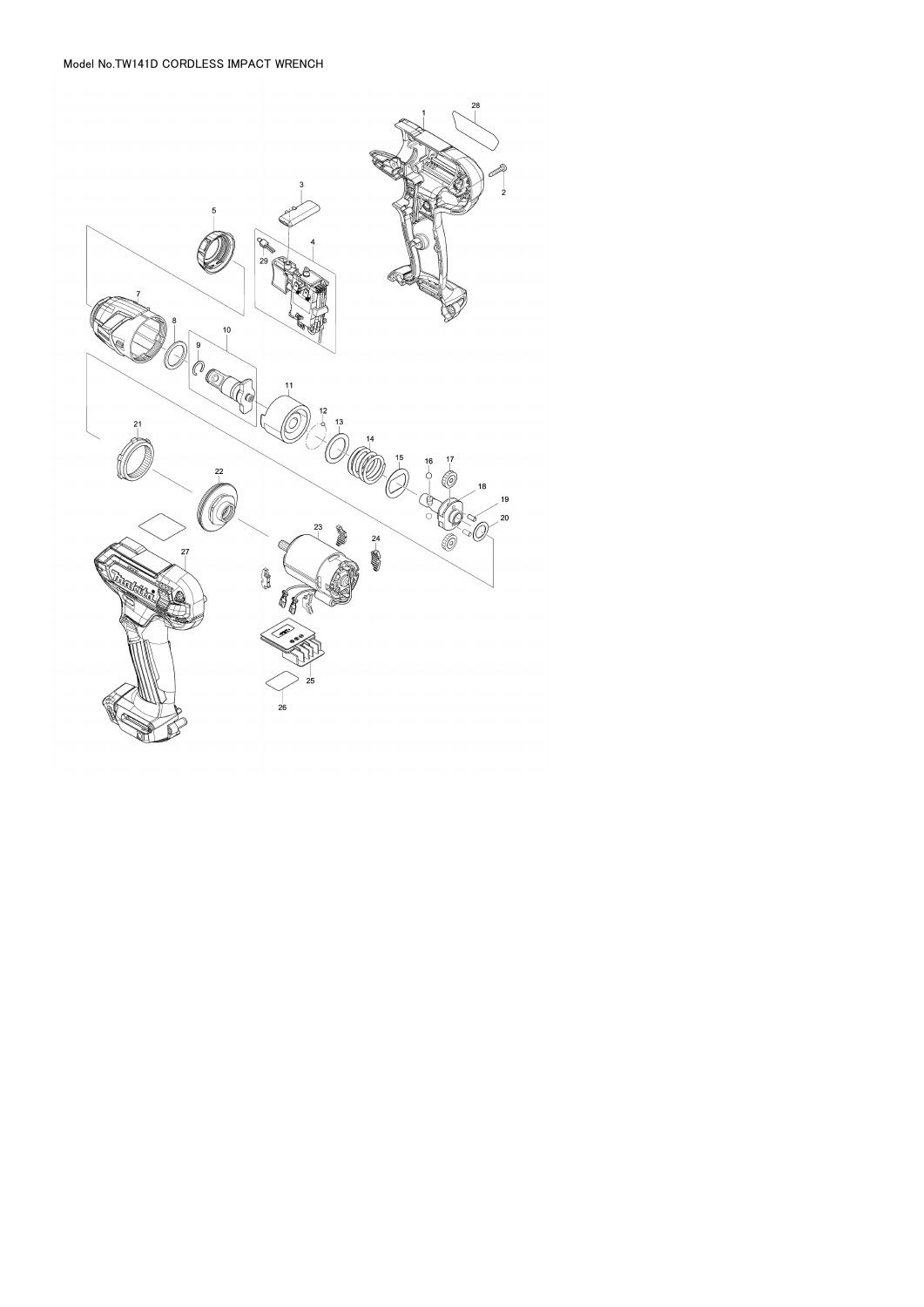